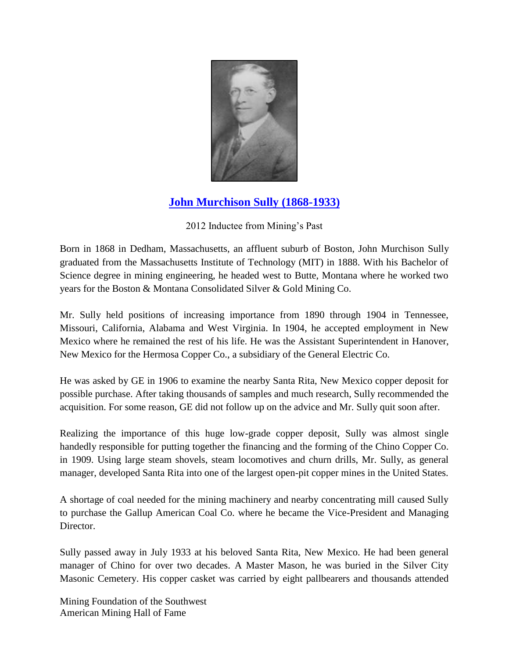

## **[John Murchison Sully \(1868-1933\)](http://www.youtube.com/watch?feature=player_embedded&v=PVLOiEYwfWo)**

## 2012 Inductee from Mining's Past

Born in 1868 in Dedham, Massachusetts, an affluent suburb of Boston, John Murchison Sully graduated from the Massachusetts Institute of Technology (MIT) in 1888. With his Bachelor of Science degree in mining engineering, he headed west to Butte, Montana where he worked two years for the Boston & Montana Consolidated Silver & Gold Mining Co.

Mr. Sully held positions of increasing importance from 1890 through 1904 in Tennessee, Missouri, California, Alabama and West Virginia. In 1904, he accepted employment in New Mexico where he remained the rest of his life. He was the Assistant Superintendent in Hanover, New Mexico for the Hermosa Copper Co., a subsidiary of the General Electric Co.

He was asked by GE in 1906 to examine the nearby Santa Rita, New Mexico copper deposit for possible purchase. After taking thousands of samples and much research, Sully recommended the acquisition. For some reason, GE did not follow up on the advice and Mr. Sully quit soon after.

Realizing the importance of this huge low-grade copper deposit, Sully was almost single handedly responsible for putting together the financing and the forming of the Chino Copper Co. in 1909. Using large steam shovels, steam locomotives and churn drills, Mr. Sully, as general manager, developed Santa Rita into one of the largest open-pit copper mines in the United States.

A shortage of coal needed for the mining machinery and nearby concentrating mill caused Sully to purchase the Gallup American Coal Co. where he became the Vice-President and Managing Director.

Sully passed away in July 1933 at his beloved Santa Rita, New Mexico. He had been general manager of Chino for over two decades. A Master Mason, he was buried in the Silver City Masonic Cemetery. His copper casket was carried by eight pallbearers and thousands attended

Mining Foundation of the Southwest American Mining Hall of Fame